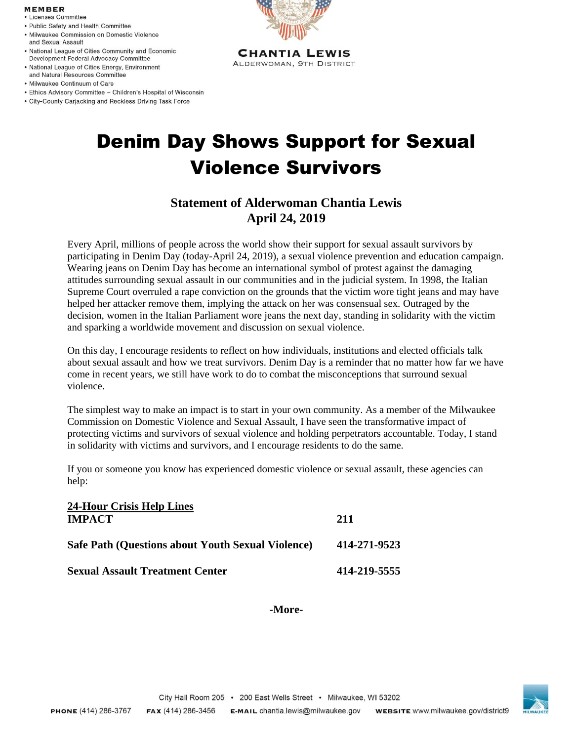## **MEMBER**

- Licenses Committee
- · Public Safety and Health Committee
- · Milwaukee Commission on Domestic Violence and Sexual Assault
- National League of Cities Community and Economic Development Federal Advocacy Committee
- National League of Cities Energy, Environment and Natural Resources Committee
- · Milwaukee Continuum of Care
- Ethics Advisory Committee Children's Hospital of Wisconsin
- City-County Carjacking and Reckless Driving Task Force



**CHANTIA LEWIS** ALDERWOMAN, 9TH DISTRICT

## Denim Day Shows Support for Sexual Violence Survivors

## **Statement of Alderwoman Chantia Lewis April 24, 2019**

Every April, millions of people across the world show their support for sexual assault survivors by participating in Denim Day (today-April 24, 2019), a sexual violence prevention and education campaign. Wearing jeans on Denim Day has become an international symbol of protest against the damaging attitudes surrounding sexual assault in our communities and in the judicial system. In 1998, the Italian Supreme Court overruled a rape conviction on the grounds that the victim wore tight jeans and may have helped her attacker remove them, implying the attack on her was consensual sex. Outraged by the decision, women in the Italian Parliament wore jeans the next day, standing in solidarity with the victim and sparking a worldwide movement and discussion on sexual violence.

On this day, I encourage residents to reflect on how individuals, institutions and elected officials talk about sexual assault and how we treat survivors. Denim Day is a reminder that no matter how far we have come in recent years, we still have work to do to combat the misconceptions that surround sexual violence.

The simplest way to make an impact is to start in your own community. As a member of the Milwaukee Commission on Domestic Violence and Sexual Assault, I have seen the transformative impact of protecting victims and survivors of sexual violence and holding perpetrators accountable. Today, I stand in solidarity with victims and survivors, and I encourage residents to do the same.

If you or someone you know has experienced domestic violence or sexual assault, these agencies can help:

| <b>24-Hour Crisis Help Lines</b>                         |              |
|----------------------------------------------------------|--------------|
| <b>IMPACT</b>                                            | 211          |
| <b>Safe Path (Questions about Youth Sexual Violence)</b> | 414-271-9523 |
| <b>Sexual Assault Treatment Center</b>                   | 414-219-5555 |

**-More-**